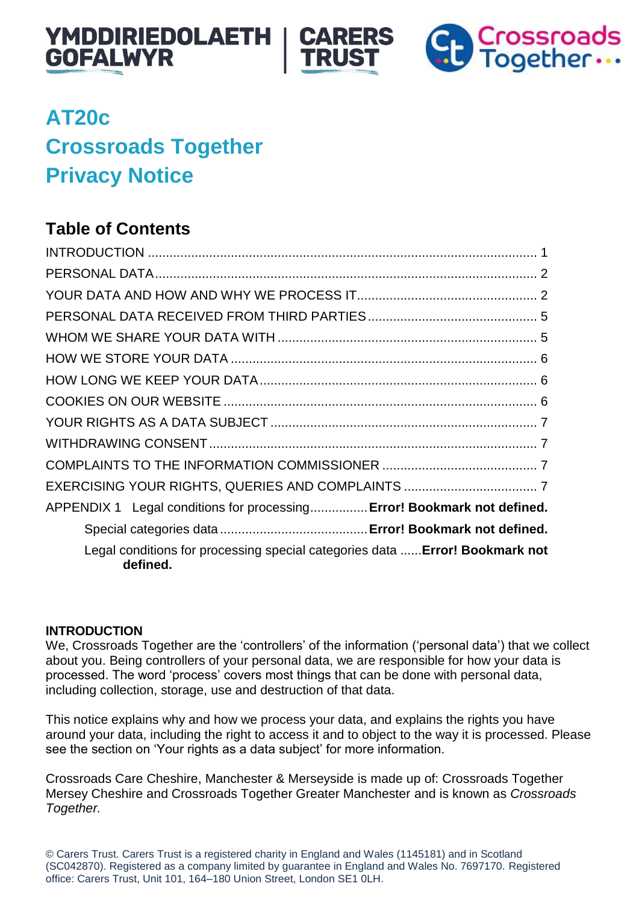





# **AT20c Crossroads Together Privacy Notice**

# **Table of Contents**

| APPENDIX 1 Legal conditions for processing Error! Bookmark not defined.                  |
|------------------------------------------------------------------------------------------|
|                                                                                          |
| Legal conditions for processing special categories data  Error! Bookmark not<br>defined. |

# <span id="page-0-0"></span>**INTRODUCTION**

We, Crossroads Together are the 'controllers' of the information ('personal data') that we collect about you. Being controllers of your personal data, we are responsible for how your data is processed. The word 'process' covers most things that can be done with personal data, including collection, storage, use and destruction of that data.

This notice explains why and how we process your data, and explains the rights you have around your data, including the right to access it and to object to the way it is processed. Please see the section on 'Your rights as a data subject' for more information.

Crossroads Care Cheshire, Manchester & Merseyside is made up of: Crossroads Together Mersey Cheshire and Crossroads Together Greater Manchester and is known as *Crossroads Together.*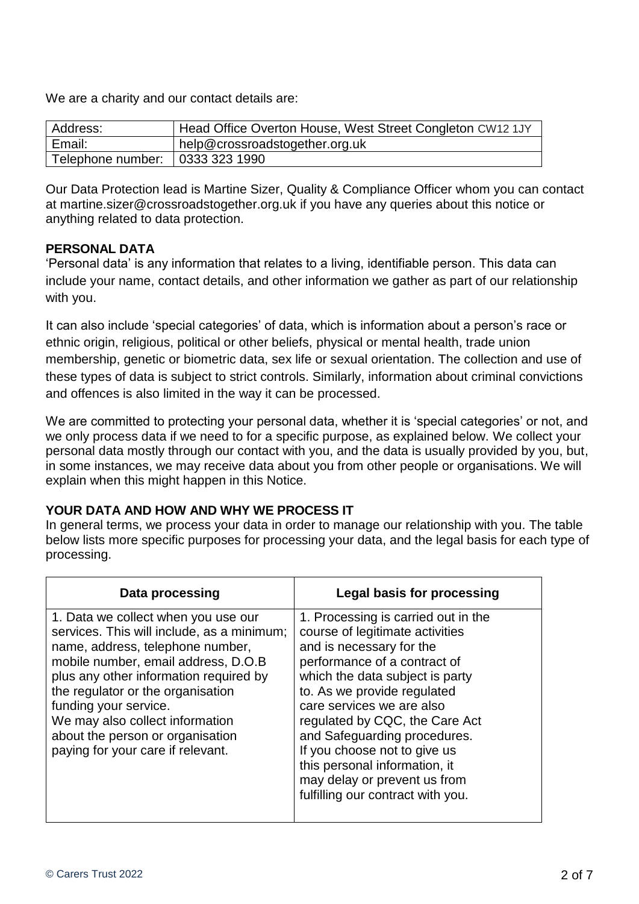We are a charity and our contact details are:

| Address:          | Head Office Overton House, West Street Congleton CW12 1JY |
|-------------------|-----------------------------------------------------------|
| Email:            | help@crossroadstogether.org.uk                            |
| Telephone number: | 0333 323 1990                                             |

Our Data Protection lead is Martine Sizer, Quality & Compliance Officer whom you can contact at martine.sizer@crossroadstogether.org.uk if you have any queries about this notice or anything related to data protection.

#### <span id="page-1-0"></span>**PERSONAL DATA**

'Personal data' is any information that relates to a living, identifiable person. This data can include your name, contact details, and other information we gather as part of our relationship with you.

It can also include 'special categories' of data, which is information about a person's race or ethnic origin, religious, political or other beliefs, physical or mental health, trade union membership, genetic or biometric data, sex life or sexual orientation. The collection and use of these types of data is subject to strict controls. Similarly, information about criminal convictions and offences is also limited in the way it can be processed.

We are committed to protecting your personal data, whether it is 'special categories' or not, and we only process data if we need to for a specific purpose, as explained below. We collect your personal data mostly through our contact with you, and the data is usually provided by you, but, in some instances, we may receive data about you from other people or organisations. We will explain when this might happen in this Notice.

# <span id="page-1-1"></span>**YOUR DATA AND HOW AND WHY WE PROCESS IT**

In general terms, we process your data in order to manage our relationship with you. The table below lists more specific purposes for processing your data, and the legal basis for each type of processing.

| Data processing                                                                                                                                                                                                                                                                                                                                                                  | Legal basis for processing                                                                                                                                                                                                                                                                                                                                                                                                                |
|----------------------------------------------------------------------------------------------------------------------------------------------------------------------------------------------------------------------------------------------------------------------------------------------------------------------------------------------------------------------------------|-------------------------------------------------------------------------------------------------------------------------------------------------------------------------------------------------------------------------------------------------------------------------------------------------------------------------------------------------------------------------------------------------------------------------------------------|
| 1. Data we collect when you use our<br>services. This will include, as a minimum;<br>name, address, telephone number,<br>mobile number, email address, D.O.B<br>plus any other information required by<br>the regulator or the organisation<br>funding your service.<br>We may also collect information<br>about the person or organisation<br>paying for your care if relevant. | 1. Processing is carried out in the<br>course of legitimate activities<br>and is necessary for the<br>performance of a contract of<br>which the data subject is party<br>to. As we provide regulated<br>care services we are also<br>regulated by CQC, the Care Act<br>and Safeguarding procedures.<br>If you choose not to give us<br>this personal information, it<br>may delay or prevent us from<br>fulfilling our contract with you. |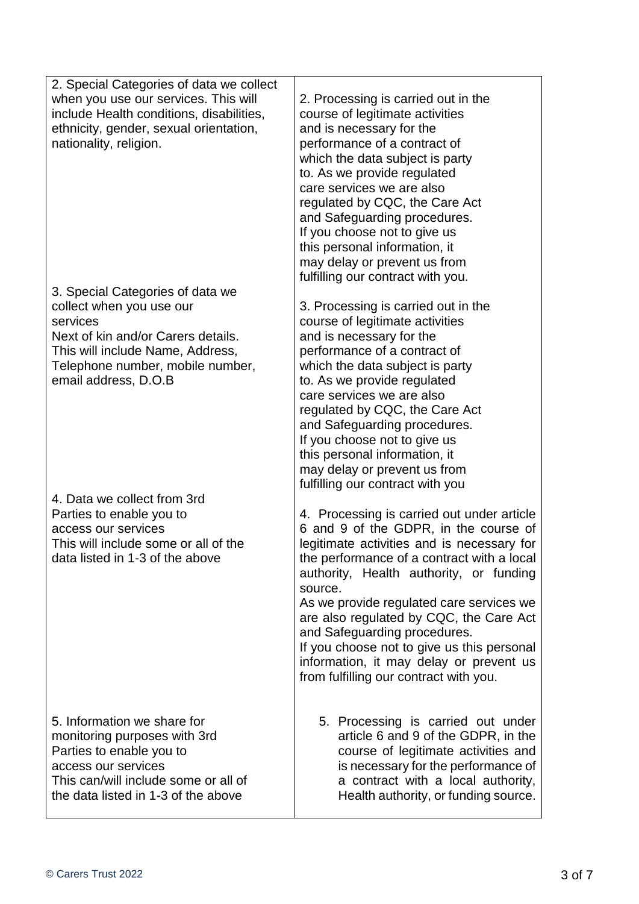2. Special Categories of data we collect when you use our services. This will include Health conditions, disabilities, ethnicity, gender, sexual orientation, nationality, religion.

3. Special Categories of data we collect when you use our services Next of kin and/or Carers details.

This will include Name, Address, Telephone number, mobile number, email address, D.O.B

4. Data we collect from 3rd Parties to enable you to access our services This will include some or all of the data listed in 1-3 of the above

5. Information we share for monitoring purposes with 3rd Parties to enable you to access our services This can/will include some or all of the data listed in 1-3 of the above

2. Processing is carried out in the course of legitimate activities and is necessary for the performance of a contract of which the data subject is party to. As we provide regulated care services we are also regulated by CQC, the Care Act and Safeguarding procedures. If you choose not to give us this personal information, it may delay or prevent us from fulfilling our contract with you.

3. Processing is carried out in the course of legitimate activities and is necessary for the performance of a contract of which the data subject is party to. As we provide regulated care services we are also regulated by CQC, the Care Act and Safeguarding procedures. If you choose not to give us this personal information, it may delay or prevent us from fulfilling our contract with you

4. Processing is carried out under article 6 and 9 of the GDPR, in the course of legitimate activities and is necessary for the performance of a contract with a local authority, Health authority, or funding source.

As we provide regulated care services we are also regulated by CQC, the Care Act and Safeguarding procedures.

If you choose not to give us this personal information, it may delay or prevent us from fulfilling our contract with you.

5. Processing is carried out under article 6 and 9 of the GDPR, in the course of legitimate activities and is necessary for the performance of a contract with a local authority, Health authority, or funding source.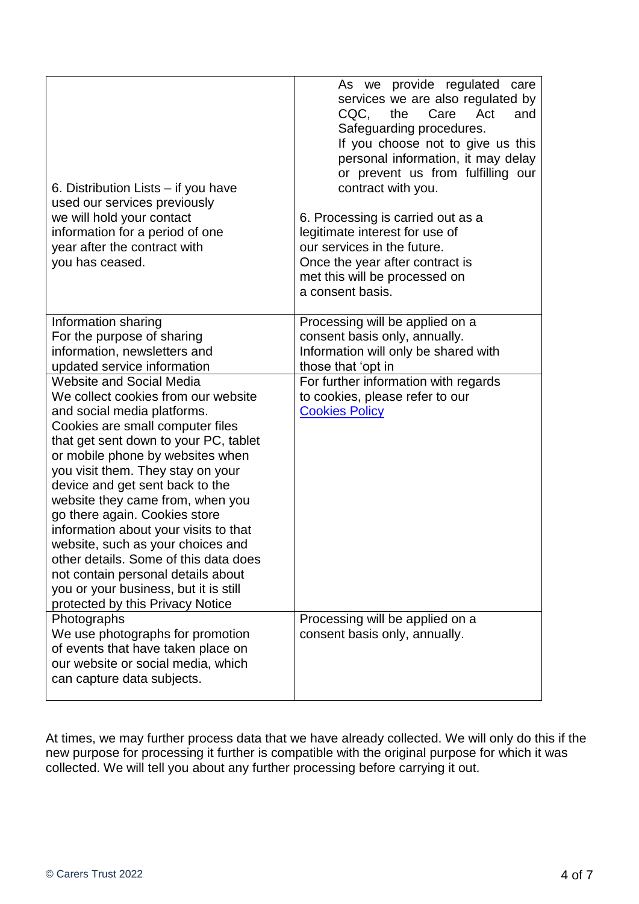| 6. Distribution Lists – if you have<br>used our services previously<br>we will hold your contact<br>information for a period of one<br>year after the contract with<br>you has ceased.                                                                                                                                                                                                                                                                                                                                                                                                                                                                    | As we provide regulated care<br>services we are also regulated by<br>CQC,<br>Care<br>Act<br>the<br>and<br>Safeguarding procedures.<br>If you choose not to give us this<br>personal information, it may delay<br>or prevent us from fulfilling our<br>contract with you.<br>6. Processing is carried out as a<br>legitimate interest for use of<br>our services in the future.<br>Once the year after contract is<br>met this will be processed on<br>a consent basis. |
|-----------------------------------------------------------------------------------------------------------------------------------------------------------------------------------------------------------------------------------------------------------------------------------------------------------------------------------------------------------------------------------------------------------------------------------------------------------------------------------------------------------------------------------------------------------------------------------------------------------------------------------------------------------|------------------------------------------------------------------------------------------------------------------------------------------------------------------------------------------------------------------------------------------------------------------------------------------------------------------------------------------------------------------------------------------------------------------------------------------------------------------------|
| Information sharing<br>For the purpose of sharing<br>information, newsletters and<br>updated service information                                                                                                                                                                                                                                                                                                                                                                                                                                                                                                                                          | Processing will be applied on a<br>consent basis only, annually.<br>Information will only be shared with<br>those that 'opt in                                                                                                                                                                                                                                                                                                                                         |
| Website and Social Media<br>We collect cookies from our website<br>and social media platforms.<br>Cookies are small computer files<br>that get sent down to your PC, tablet<br>or mobile phone by websites when<br>you visit them. They stay on your<br>device and get sent back to the<br>website they came from, when you<br>go there again. Cookies store<br>information about your visits to that<br>website, such as your choices and<br>other details. Some of this data does<br>not contain personal details about<br>you or your business, but it is still<br>protected by this Privacy Notice<br>Photographs<br>We use photographs for promotion | For further information with regards<br>to cookies, please refer to our<br><b>Cookies Policy</b><br>Processing will be applied on a<br>consent basis only, annually.                                                                                                                                                                                                                                                                                                   |
| of events that have taken place on<br>our website or social media, which<br>can capture data subjects.                                                                                                                                                                                                                                                                                                                                                                                                                                                                                                                                                    |                                                                                                                                                                                                                                                                                                                                                                                                                                                                        |

At times, we may further process data that we have already collected. We will only do this if the new purpose for processing it further is compatible with the original purpose for which it was collected. We will tell you about any further processing before carrying it out*.*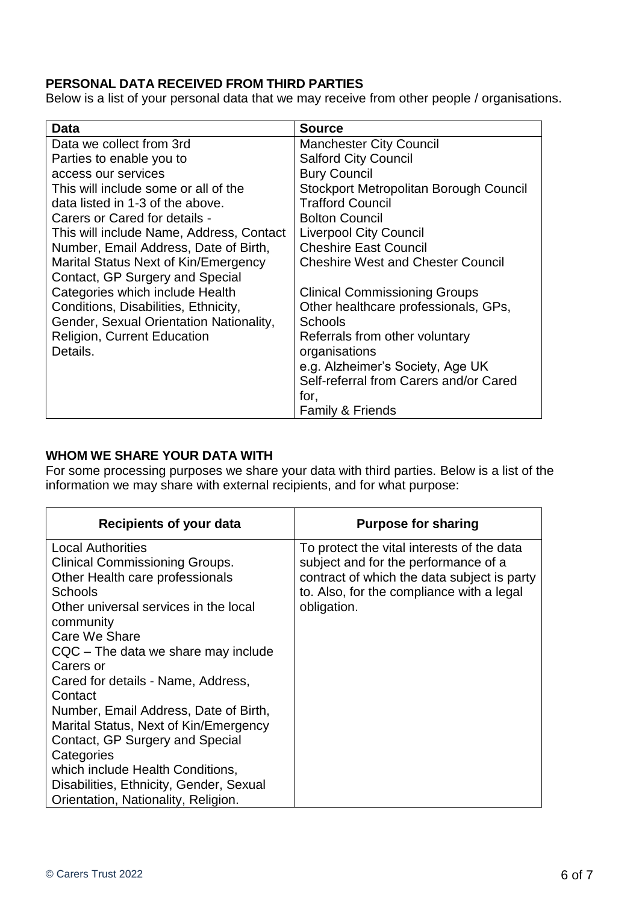# **PERSONAL DATA RECEIVED FROM THIRD PARTIES**

Below is a list of your personal data that we may receive from other people / organisations.

| Data                                     | <b>Source</b>                            |
|------------------------------------------|------------------------------------------|
| Data we collect from 3rd                 | <b>Manchester City Council</b>           |
| Parties to enable you to                 | <b>Salford City Council</b>              |
| access our services                      | <b>Bury Council</b>                      |
| This will include some or all of the     | Stockport Metropolitan Borough Council   |
| data listed in 1-3 of the above.         | <b>Trafford Council</b>                  |
| Carers or Cared for details -            | <b>Bolton Council</b>                    |
| This will include Name, Address, Contact | <b>Liverpool City Council</b>            |
| Number, Email Address, Date of Birth,    | <b>Cheshire East Council</b>             |
| Marital Status Next of Kin/Emergency     | <b>Cheshire West and Chester Council</b> |
| Contact, GP Surgery and Special          |                                          |
| Categories which include Health          | <b>Clinical Commissioning Groups</b>     |
| Conditions, Disabilities, Ethnicity,     | Other healthcare professionals, GPs,     |
| Gender, Sexual Orientation Nationality,  | Schools                                  |
| <b>Religion, Current Education</b>       | Referrals from other voluntary           |
| Details.                                 | organisations                            |
|                                          | e.g. Alzheimer's Society, Age UK         |
|                                          | Self-referral from Carers and/or Cared   |
|                                          | for,                                     |
|                                          | <b>Family &amp; Friends</b>              |

#### <span id="page-5-0"></span>**WHOM WE SHARE YOUR DATA WITH**

For some processing purposes we share your data with third parties. Below is a list of the information we may share with external recipients, and for what purpose:

| Recipients of your data                 | <b>Purpose for sharing</b>                  |
|-----------------------------------------|---------------------------------------------|
| <b>Local Authorities</b>                | To protect the vital interests of the data  |
| Clinical Commissioning Groups.          | subject and for the performance of a        |
| Other Health care professionals         | contract of which the data subject is party |
| <b>Schools</b>                          | to. Also, for the compliance with a legal   |
| Other universal services in the local   | obligation.                                 |
| community                               |                                             |
| Care We Share                           |                                             |
| CQC – The data we share may include     |                                             |
| Carers or                               |                                             |
| Cared for details - Name, Address,      |                                             |
| Contact                                 |                                             |
| Number, Email Address, Date of Birth,   |                                             |
| Marital Status, Next of Kin/Emergency   |                                             |
| Contact, GP Surgery and Special         |                                             |
| Categories                              |                                             |
| which include Health Conditions,        |                                             |
| Disabilities, Ethnicity, Gender, Sexual |                                             |
| Orientation, Nationality, Religion.     |                                             |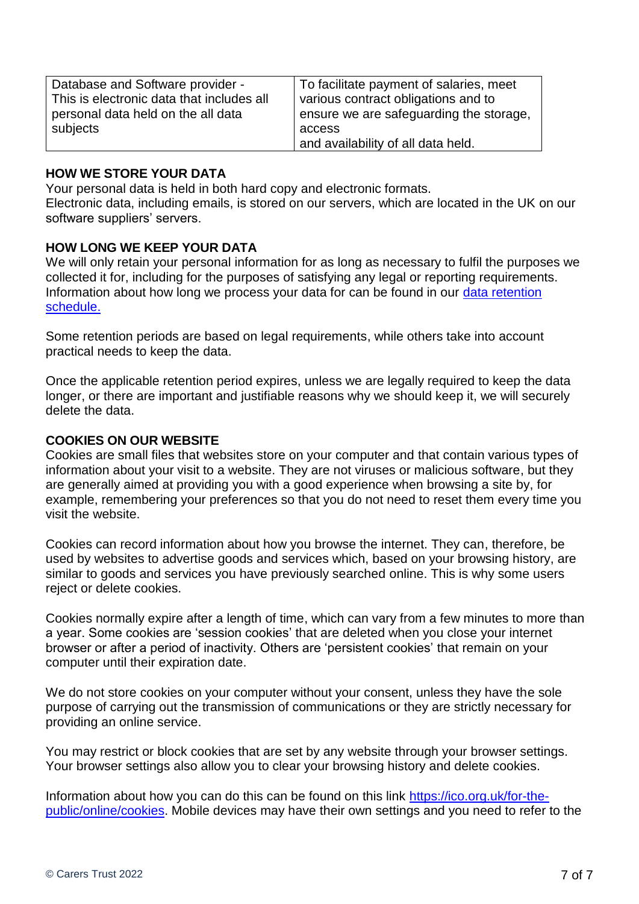| Database and Software provider -          | To facilitate payment of salaries, meet |
|-------------------------------------------|-----------------------------------------|
| This is electronic data that includes all | various contract obligations and to     |
| personal data held on the all data        | ensure we are safeguarding the storage, |
| subjects                                  | access                                  |
|                                           | and availability of all data held.      |

#### <span id="page-6-0"></span>**HOW WE STORE YOUR DATA**

Your personal data is held in both hard copy and electronic formats.

Electronic data, including emails, is stored on our servers, which are located in the UK on our software suppliers' servers.

#### <span id="page-6-1"></span>**HOW LONG WE KEEP YOUR DATA**

We will only retain your personal information for as long as necessary to fulfil the purposes we collected it for, including for the purposes of satisfying any legal or reporting requirements. Information about how long we process your data for can be found in our [data retention](file://///cccsvr/Operations%20Quality%20&%20Compliance/Policies/Operational%20Policy%20Framework/A%20Service%20Management/Data%20retention%20and%20destruction%20schedule.xls)  [schedule.](file://///cccsvr/Operations%20Quality%20&%20Compliance/Policies/Operational%20Policy%20Framework/A%20Service%20Management/Data%20retention%20and%20destruction%20schedule.xls)

Some retention periods are based on legal requirements, while others take into account practical needs to keep the data.

Once the applicable retention period expires, unless we are legally required to keep the data longer, or there are important and justifiable reasons why we should keep it, we will securely delete the data.

#### <span id="page-6-2"></span>**COOKIES ON OUR WEBSITE**

Cookies are small files that websites store on your computer and that contain various types of information about your visit to a website. They are not viruses or malicious software, but they are generally aimed at providing you with a good experience when browsing a site by, for example, remembering your preferences so that you do not need to reset them every time you visit the website.

Cookies can record information about how you browse the internet. They can, therefore, be used by websites to advertise goods and services which, based on your browsing history, are similar to goods and services you have previously searched online. This is why some users reject or delete cookies.

Cookies normally expire after a length of time, which can vary from a few minutes to more than a year. Some cookies are 'session cookies' that are deleted when you close your internet browser or after a period of inactivity. Others are 'persistent cookies' that remain on your computer until their expiration date.

We do not store cookies on your computer without your consent, unless they have the sole purpose of carrying out the transmission of communications or they are strictly necessary for providing an online service.

You may restrict or block cookies that are set by any website through your browser settings. Your browser settings also allow you to clear your browsing history and delete cookies.

Information about how you can do this can be found on this link [https://ico.org.uk/for-the](https://ico.org.uk/for-the-public/online/cookies)[public/online/cookies.](https://ico.org.uk/for-the-public/online/cookies) Mobile devices may have their own settings and you need to refer to the